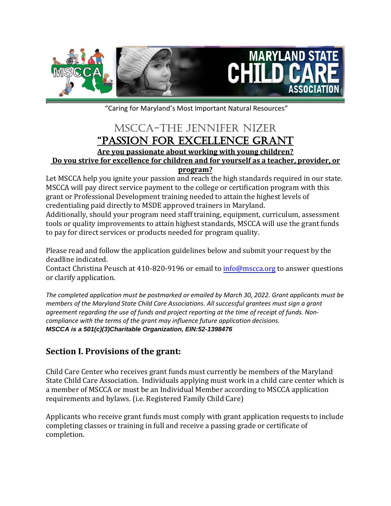

"Caring for Maryland's Most Important Natural Resources"

# MSCCA-The Jennifer Nizer "Passion for Excellence Grant **Are you passionate about working with young children? Do you strive for excellence for children and for yourself as a teacher, provider, or program?**

Let MSCCA help you ignite your passion and reach the high standards required in our state. MSCCA will pay direct service payment to the college or certification program with this grant or Professional Development training needed to attain the highest levels of credentialing paid directly to MSDE approved trainers in Maryland.

Additionally, should your program need staff training, equipment, curriculum, assessment tools or quality improvements to attain highest standards, MSCCA will use the grant funds to pay for direct services or products needed for program quality.

Please read and follow the application guidelines below and submit your request by the deadline indicated.

Contact Christina Peusch at 410-820-9196 or email to info@mscca.org to answer questions or clarify application.

*The completed application must be postmarked or emailed by March 30, 2022. Grant applicants must be members of the Maryland State Child Care Associations. All successful grantees must sign a grant agreement regarding the use of funds and project reporting at the time of receipt of funds. Noncompliance with the terms of the grant may influence future application decisions. MSCCA is a 501(c)(3)Charitable Organization, EIN:52-1398476*

# **Section I. Provisions of the grant:**

Child Care Center who receives grant funds must currently be members of the Maryland State Child Care Association. Individuals applying must work in a child care center which is a member of MSCCA or must be an Individual Member according to MSCCA application requirements and bylaws. (i.e. Registered Family Child Care)

Applicants who receive grant funds must comply with grant application requests to include completing classes or training in full and receive a passing grade or certificate of completion.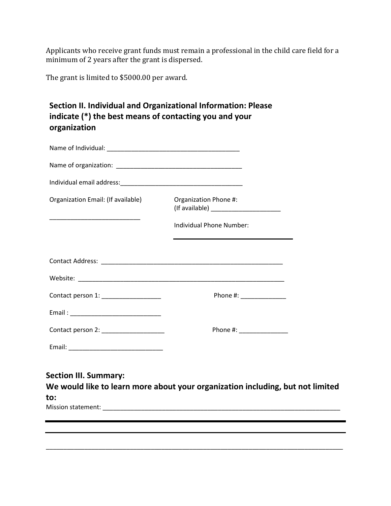Applicants who receive grant funds must remain a professional in the child care field for a minimum of 2 years after the grant is dispersed.

The grant is limited to \$5000.00 per award.

## **Section II. Individual and Organizational Information: Please indicate (\*) the best means of contacting you and your organization**

| Organization Email: (If available)  | Organization Phone #:    |  |
|-------------------------------------|--------------------------|--|
|                                     | Individual Phone Number: |  |
|                                     |                          |  |
|                                     |                          |  |
|                                     |                          |  |
| Contact person 1: _________________ | Phone #: ______________  |  |
|                                     |                          |  |
| Contact person 2: _________________ | Phone #: _______________ |  |
|                                     |                          |  |
|                                     |                          |  |

**Section III. Summary: We would like to learn more about your organization including, but not limited to:**  Mission statement: \_\_\_\_\_\_\_\_\_\_\_\_\_\_\_\_\_\_\_\_\_\_\_\_\_\_\_\_\_\_\_\_\_\_\_\_\_\_\_\_\_\_\_\_\_\_\_\_\_\_\_\_\_\_\_\_\_\_\_\_\_\_\_\_\_\_\_\_

\_\_\_\_\_\_\_\_\_\_\_\_\_\_\_\_\_\_\_\_\_\_\_\_\_\_\_\_\_\_\_\_\_\_\_\_\_\_\_\_\_\_\_\_\_\_\_\_\_\_\_\_\_\_\_\_\_\_\_\_\_\_\_\_\_\_\_\_\_\_\_\_\_\_\_\_\_\_\_\_\_\_\_\_\_